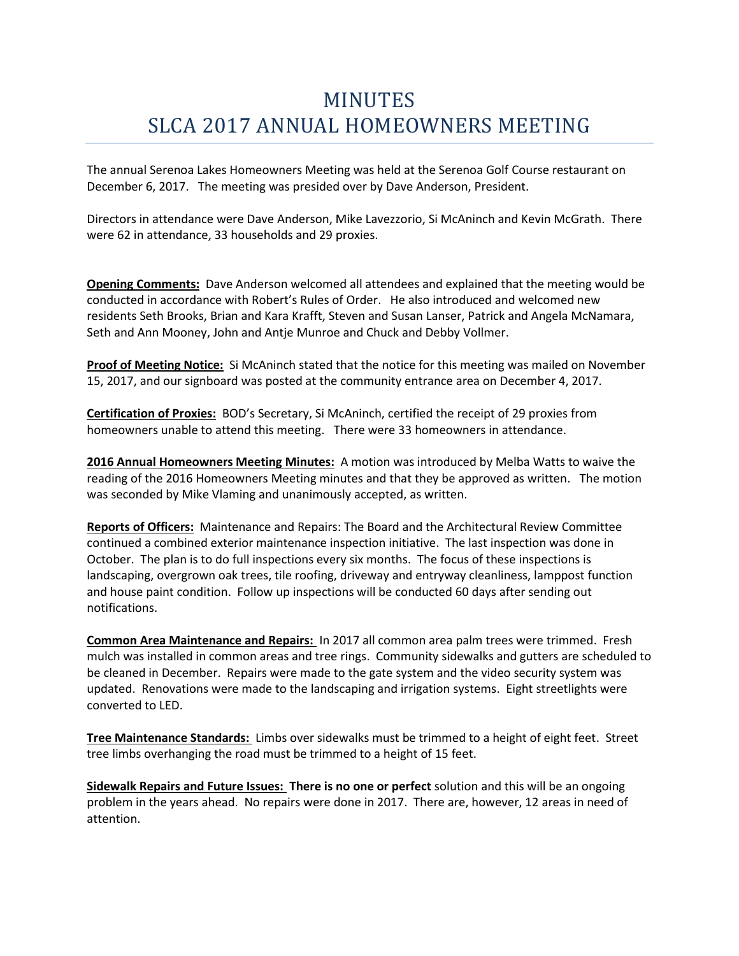## MINUTES SLCA 2017 ANNUAL HOMEOWNERS MEETING

The annual Serenoa Lakes Homeowners Meeting was held at the Serenoa Golf Course restaurant on December 6, 2017. The meeting was presided over by Dave Anderson, President.

Directors in attendance were Dave Anderson, Mike Lavezzorio, Si McAninch and Kevin McGrath. There were 62 in attendance, 33 households and 29 proxies.

**Opening Comments:** Dave Anderson welcomed all attendees and explained that the meeting would be conducted in accordance with Robert's Rules of Order. He also introduced and welcomed new residents Seth Brooks, Brian and Kara Krafft, Steven and Susan Lanser, Patrick and Angela McNamara, Seth and Ann Mooney, John and Antje Munroe and Chuck and Debby Vollmer.

**Proof of Meeting Notice:** Si McAninch stated that the notice for this meeting was mailed on November 15, 2017, and our signboard was posted at the community entrance area on December 4, 2017.

**Certification of Proxies:** BOD's Secretary, Si McAninch, certified the receipt of 29 proxies from homeowners unable to attend this meeting. There were 33 homeowners in attendance.

**2016 Annual Homeowners Meeting Minutes:** A motion was introduced by Melba Watts to waive the reading of the 2016 Homeowners Meeting minutes and that they be approved as written. The motion was seconded by Mike Vlaming and unanimously accepted, as written.

**Reports of Officers:** Maintenance and Repairs: The Board and the Architectural Review Committee continued a combined exterior maintenance inspection initiative. The last inspection was done in October. The plan is to do full inspections every six months. The focus of these inspections is landscaping, overgrown oak trees, tile roofing, driveway and entryway cleanliness, lamppost function and house paint condition. Follow up inspections will be conducted 60 days after sending out notifications.

**Common Area Maintenance and Repairs:** In 2017 all common area palm trees were trimmed. Fresh mulch was installed in common areas and tree rings. Community sidewalks and gutters are scheduled to be cleaned in December. Repairs were made to the gate system and the video security system was updated. Renovations were made to the landscaping and irrigation systems. Eight streetlights were converted to LED.

**Tree Maintenance Standards:** Limbs over sidewalks must be trimmed to a height of eight feet. Street tree limbs overhanging the road must be trimmed to a height of 15 feet.

**Sidewalk Repairs and Future Issues: There is no one or perfect** solution and this will be an ongoing problem in the years ahead. No repairs were done in 2017. There are, however, 12 areas in need of attention.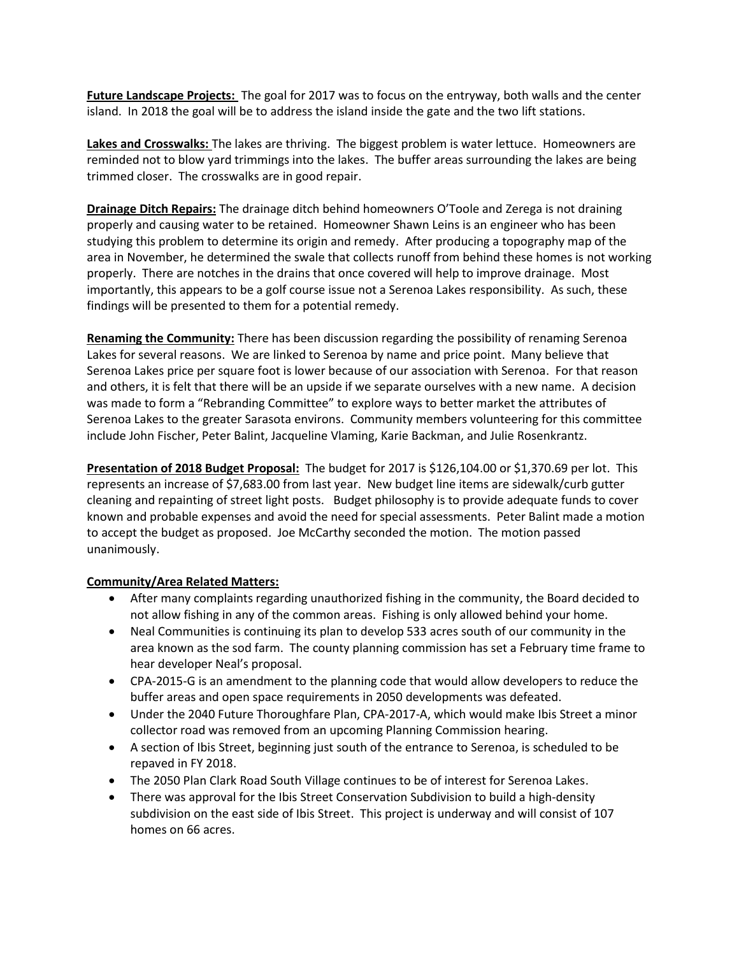**Future Landscape Projects:** The goal for 2017 was to focus on the entryway, both walls and the center island. In 2018 the goal will be to address the island inside the gate and the two lift stations.

**Lakes and Crosswalks:** The lakes are thriving. The biggest problem is water lettuce. Homeowners are reminded not to blow yard trimmings into the lakes. The buffer areas surrounding the lakes are being trimmed closer. The crosswalks are in good repair.

**Drainage Ditch Repairs:** The drainage ditch behind homeowners O'Toole and Zerega is not draining properly and causing water to be retained. Homeowner Shawn Leins is an engineer who has been studying this problem to determine its origin and remedy. After producing a topography map of the area in November, he determined the swale that collects runoff from behind these homes is not working properly. There are notches in the drains that once covered will help to improve drainage. Most importantly, this appears to be a golf course issue not a Serenoa Lakes responsibility. As such, these findings will be presented to them for a potential remedy.

**Renaming the Community:** There has been discussion regarding the possibility of renaming Serenoa Lakes for several reasons. We are linked to Serenoa by name and price point. Many believe that Serenoa Lakes price per square foot is lower because of our association with Serenoa. For that reason and others, it is felt that there will be an upside if we separate ourselves with a new name. A decision was made to form a "Rebranding Committee" to explore ways to better market the attributes of Serenoa Lakes to the greater Sarasota environs. Community members volunteering for this committee include John Fischer, Peter Balint, Jacqueline Vlaming, Karie Backman, and Julie Rosenkrantz.

**Presentation of 2018 Budget Proposal:** The budget for 2017 is \$126,104.00 or \$1,370.69 per lot. This represents an increase of \$7,683.00 from last year. New budget line items are sidewalk/curb gutter cleaning and repainting of street light posts. Budget philosophy is to provide adequate funds to cover known and probable expenses and avoid the need for special assessments. Peter Balint made a motion to accept the budget as proposed. Joe McCarthy seconded the motion. The motion passed unanimously.

## **Community/Area Related Matters:**

- After many complaints regarding unauthorized fishing in the community, the Board decided to not allow fishing in any of the common areas. Fishing is only allowed behind your home.
- Neal Communities is continuing its plan to develop 533 acres south of our community in the area known as the sod farm. The county planning commission has set a February time frame to hear developer Neal's proposal.
- CPA-2015-G is an amendment to the planning code that would allow developers to reduce the buffer areas and open space requirements in 2050 developments was defeated.
- Under the 2040 Future Thoroughfare Plan, CPA-2017-A, which would make Ibis Street a minor collector road was removed from an upcoming Planning Commission hearing.
- A section of Ibis Street, beginning just south of the entrance to Serenoa, is scheduled to be repaved in FY 2018.
- The 2050 Plan Clark Road South Village continues to be of interest for Serenoa Lakes.
- There was approval for the Ibis Street Conservation Subdivision to build a high-density subdivision on the east side of Ibis Street. This project is underway and will consist of 107 homes on 66 acres.